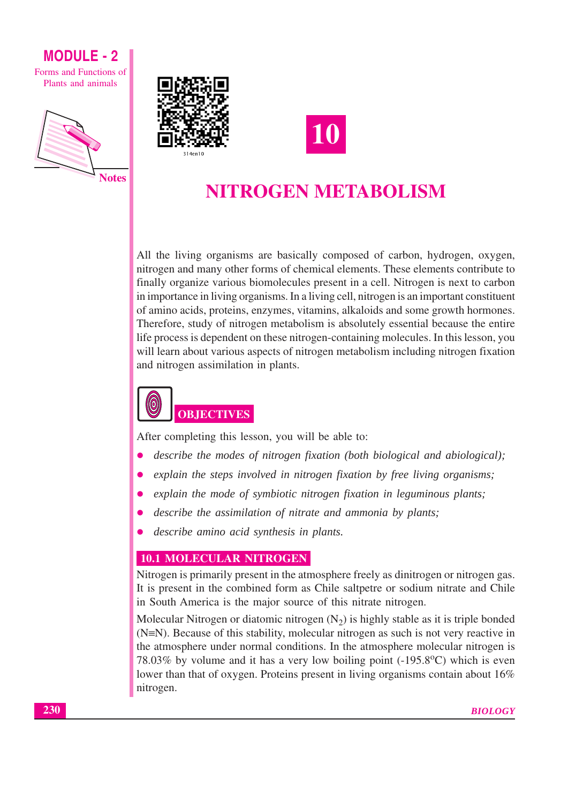Forms and Functions of Plants and animals







# NITROGEN METABOLISM

All the living organisms are basically composed of carbon, hydrogen, oxygen, nitrogen and many other forms of chemical elements. These elements contribute to finally organize various biomolecules present in a cell. Nitrogen is next to carbon in importance in living organisms. In a living cell, nitrogen is an important constituent of amino acids, proteins, enzymes, vitamins, alkaloids and some growth hormones. Therefore, study of nitrogen metabolism is absolutely essential because the entire life process is dependent on these nitrogen-containing molecules. In this lesson, you will learn about various aspects of nitrogen metabolism including nitrogen fixation and nitrogen assimilation in plants.



After completing this lesson, you will be able to:

- describe the modes of nitrogen fixation (both biological and abiological);
- explain the steps involved in nitrogen fixation by free living organisms;
- explain the mode of symbiotic nitrogen fixation in leguminous plants;
- describe the assimilation of nitrate and ammonia by plants;
- describe amino acid synthesis in plants.

## **10.1 MOLECULAR NITROGEN**

Nitrogen is primarily present in the atmosphere freely as dinitrogen or nitrogen gas. It is present in the combined form as Chile saltpetre or sodium nitrate and Chile in South America is the major source of this nitrate nitrogen.

Molecular Nitrogen or diatomic nitrogen  $(N_2)$  is highly stable as it is triple bonded  $(N=N)$ . Because of this stability, molecular nitrogen as such is not very reactive in the atmosphere under normal conditions. In the atmosphere molecular nitrogen is 78.03% by volume and it has a very low boiling point  $(-195.8^{\circ}C)$  which is even lower than that of oxygen. Proteins present in living organisms contain about 16% nitrogen.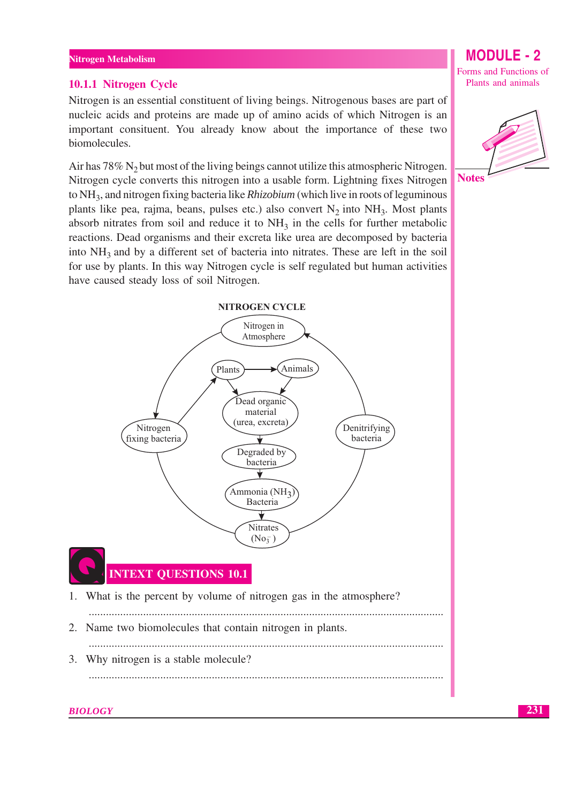#### Nitrogen Metabolism

#### 10.1.1 Nitrogen Cycle

Nitrogen is an essential constituent of living beings. Nitrogenous bases are part of nucleic acids and proteins are made up of amino acids of which Nitrogen is an important consituent. You already know about the importance of these two biomolecules.

Air has 78% N<sub>2</sub> but most of the living beings cannot utilize this atmospheric Nitrogen. Nitrogen cycle converts this nitrogen into a usable form. Lightning fixes Nitrogen to NH<sub>3</sub>, and nitrogen fixing bacteria like *Rhizobium* (which live in roots of leguminous plants like pea, rajma, beans, pulses etc.) also convert  $N_2$  into  $NH_3$ . Most plants absorb nitrates from soil and reduce it to  $NH<sub>3</sub>$  in the cells for further metabolic reactions. Dead organisms and their excreta like urea are decomposed by bacteria into  $NH<sub>3</sub>$  and by a different set of bacteria into nitrates. These are left in the soil for use by plants. In this way Nitrogen cycle is self regulated but human activities have caused steady loss of soil Nitrogen.

## **NITROGEN CYCLE** Nitrogen in Atmosphere Plants Animals Dead organic material (urea, excreta) Nitrogen Denitrifying fixing bacteria bacteria ┪ Degraded by bacteria ₹ Ammonia (NH<sub>2</sub> Bacteria ₹ Nitrates  $(No_3^-)$ **INTEXT QUESTIONS 10.1** 1. What is the percent by volume of nitrogen gas in the atmosphere? 2. Name two biomolecules that contain nitrogen in plants.

- 3. Why nitrogen is a stable molecule?
	-

## **BIOLOGY**

Forms and Functions of Plants and animals

**MODULE - 2** 



**Notes**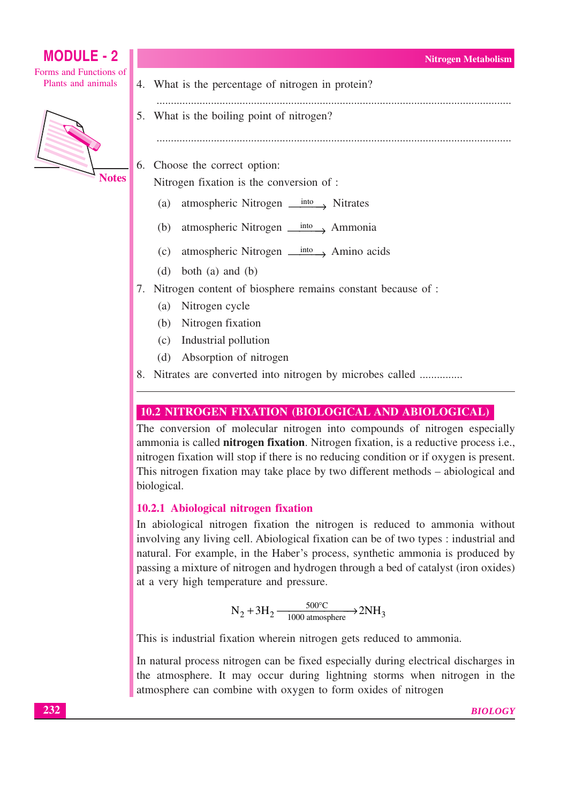

## 10.2 NITROGEN FIXATION (BIOLOGICAL AND ABIOLOGICAL)

The conversion of molecular nitrogen into compounds of nitrogen especially ammonia is called nitrogen fixation. Nitrogen fixation, is a reductive process i.e., nitrogen fixation will stop if there is no reducing condition or if oxygen is present. This nitrogen fixation may take place by two different methods – abiological and biological.

## 10.2.1 Abiological nitrogen fixation

In abiological nitrogen fixation the nitrogen is reduced to ammonia without involving any living cell. Abiological fixation can be of two types : industrial and natural. For example, in the Haber's process, synthetic ammonia is produced by passing a mixture of nitrogen and hydrogen through a bed of catalyst (iron oxides) at a very high temperature and pressure.

 $N_2 + 3H_2 \xrightarrow[1000 \text{ atmosphere}]{500^{\circ}C} 2NH_3$ 

This is industrial fixation wherein nitrogen gets reduced to ammonia.

In natural process nitrogen can be fixed especially during electrical discharges in the atmosphere. It may occur during lightning storms when nitrogen in the atmosphere can combine with oxygen to form oxides of nitrogen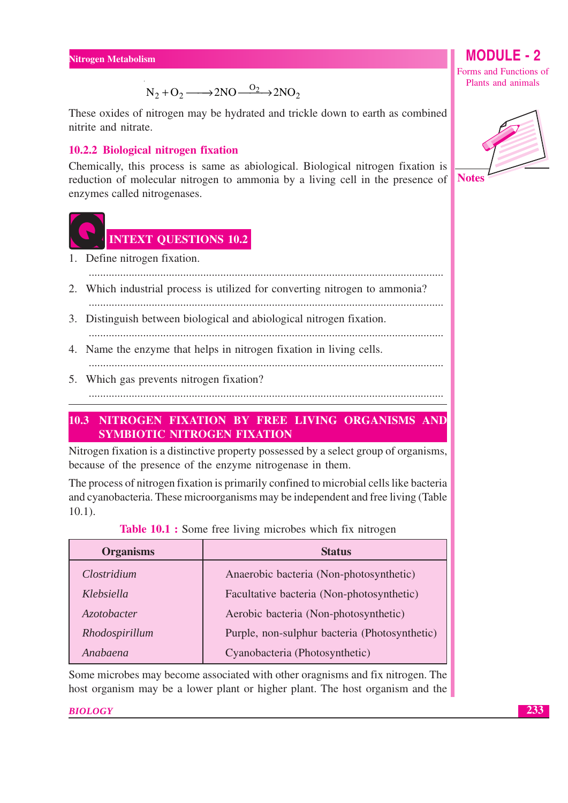$N_2 + O_2 \longrightarrow 2NO \xrightarrow{O_2} 2NO_2$ 

These oxides of nitrogen may be hydrated and trickle down to earth as combined nitrite and nitrate.

## 10.2.2 Biological nitrogen fixation

Chemically, this process is same as abiological. Biological nitrogen fixation is reduction of molecular nitrogen to ammonia by a living cell in the presence of enzymes called nitrogenases.



# **INTEXT QUESTIONS 10.2**

- 1. Define nitrogen fixation.
- 2. Which industrial process is utilized for converting nitrogen to ammonia?

- 3. Distinguish between biological and abiological nitrogen fixation.
- 4. Name the enzyme that helps in nitrogen fixation in living cells.
- 5. Which gas prevents nitrogen fixation?

## 10.3 NITROGEN FIXATION BY FREE LIVING ORGANISMS AND SYMBIOTIC NITROGEN FIXATION

Nitrogen fixation is a distinctive property possessed by a select group of organisms, because of the presence of the enzyme nitrogenase in them.

The process of nitrogen fixation is primarily confined to microbial cells like bacteria and cyanobacteria. These microorganisms may be independent and free living (Table  $10.1$ ).

| <b>Organisms</b>   | <b>Status</b>                                 |  |  |  |
|--------------------|-----------------------------------------------|--|--|--|
| Clostridium        | Anaerobic bacteria (Non-photosynthetic)       |  |  |  |
| Klebsiella         | Facultative bacteria (Non-photosynthetic)     |  |  |  |
| <i>Azotobacter</i> | Aerobic bacteria (Non-photosynthetic)         |  |  |  |
| Rhodospirillum     | Purple, non-sulphur bacteria (Photosynthetic) |  |  |  |
| Anabaena           | Cyanobacteria (Photosynthetic)                |  |  |  |

|  |  | Table 10.1 : Some free living microbes which fix nitrogen |  |  |
|--|--|-----------------------------------------------------------|--|--|
|  |  |                                                           |  |  |

Some microbes may become associated with other oragnisms and fix nitrogen. The host organism may be a lower plant or higher plant. The host organism and the

**BIOLOGY** 

# **MODULE - 2**

Forms and Functions of Plants and animals

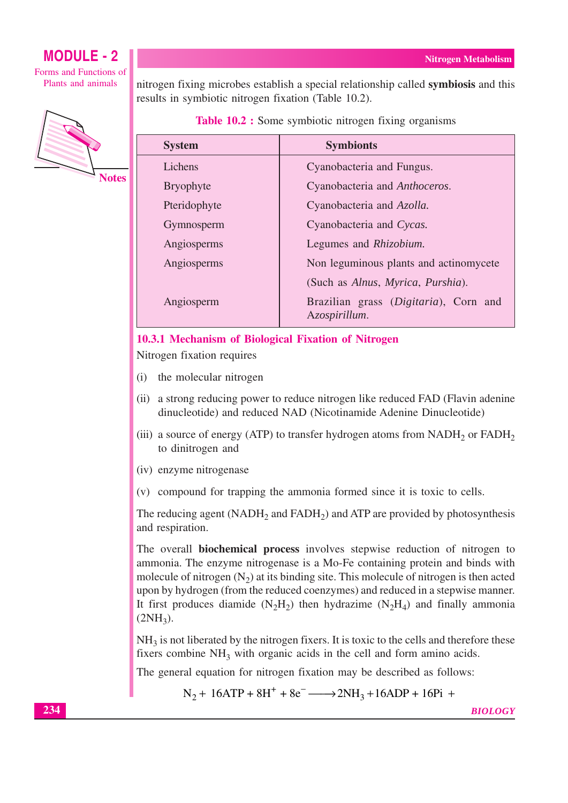#### **Nitrogen Metabolism**

## **MODULE - 2**

Forms and Functions of Plants and animals



**Notes** 

nitrogen fixing microbes establish a special relationship called **symbiosis** and this results in symbiotic nitrogen fixation (Table 10.2).

**Table 10.2 :** Some symbiotic nitrogen fixing organisms

| <b>System</b>    | <b>Symbionts</b>                                       |  |  |  |  |
|------------------|--------------------------------------------------------|--|--|--|--|
| Lichens          | Cyanobacteria and Fungus.                              |  |  |  |  |
| <b>Bryophyte</b> | Cyanobacteria and Anthoceros.                          |  |  |  |  |
| Pteridophyte     | Cyanobacteria and Azolla.                              |  |  |  |  |
| Gymnosperm       | Cyanobacteria and Cycas.                               |  |  |  |  |
| Angiosperms      | Legumes and Rhizobium.                                 |  |  |  |  |
| Angiosperms      | Non leguminous plants and actinomycete                 |  |  |  |  |
|                  | (Such as Alnus, Myrica, Purshia).                      |  |  |  |  |
| Angiosperm       | Brazilian grass (Digitaria), Corn and<br>Azospirillum. |  |  |  |  |

#### 10.3.1 Mechanism of Biological Fixation of Nitrogen

Nitrogen fixation requires

- the molecular nitrogen  $(i)$
- (ii) a strong reducing power to reduce nitrogen like reduced FAD (Flavin adenine dinucleotide) and reduced NAD (Nicotinamide Adenine Dinucleotide)
- (iii) a source of energy (ATP) to transfer hydrogen atoms from  $NADH<sub>2</sub>$  or  $FADH<sub>2</sub>$ to dinitrogen and
- (iv) enzyme nitrogenase
- (v) compound for trapping the ammonia formed since it is toxic to cells.

The reducing agent (NADH<sub>2</sub> and FADH<sub>2</sub>) and ATP are provided by photosynthesis and respiration.

The overall **biochemical process** involves stepwise reduction of nitrogen to ammonia. The enzyme nitrogenase is a Mo-Fe containing protein and binds with molecule of nitrogen  $(N_2)$  at its binding site. This molecule of nitrogen is then acted upon by hydrogen (from the reduced coenzymes) and reduced in a stepwise manner. It first produces diamide  $(N_2H_2)$  then hydrazime  $(N_2H_4)$  and finally ammonia  $(2NH<sub>3</sub>)$ .

 $NH<sub>3</sub>$  is not liberated by the nitrogen fixers. It is toxic to the cells and therefore these fixers combine NH<sub>3</sub> with organic acids in the cell and form amino acids.

The general equation for nitrogen fixation may be described as follows:

 $N_2 + 16ATP + 8H^+ + 8e^- \longrightarrow 2NH_3 + 16ADP + 16Pi +$ 

**BIOLOGY**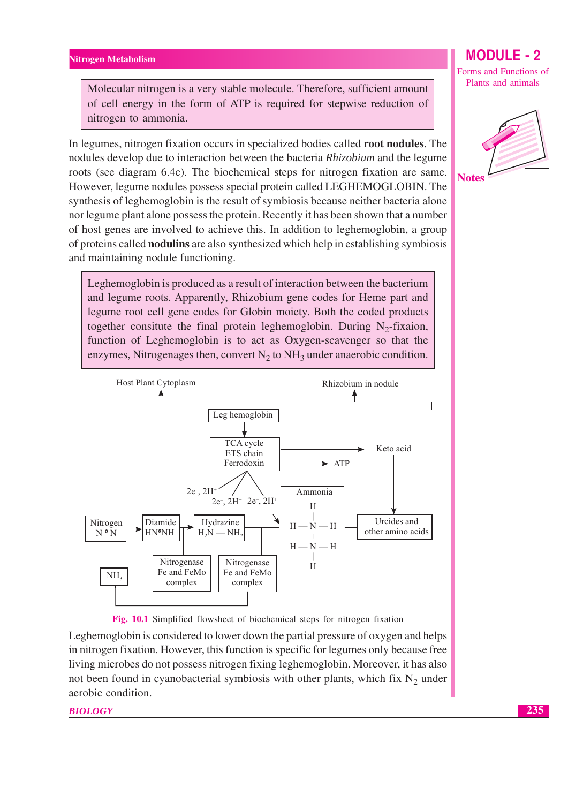Molecular nitrogen is a very stable molecule. Therefore, sufficient amount of cell energy in the form of ATP is required for stepwise reduction of nitrogen to ammonia.

In legumes, nitrogen fixation occurs in specialized bodies called **root nodules**. The nodules develop due to interaction between the bacteria Rhizobium and the legume roots (see diagram 6.4c). The biochemical steps for nitrogen fixation are same. However, legume nodules possess special protein called LEGHEMOGLOBIN. The synthesis of leghemoglobin is the result of symbiosis because neither bacteria alone nor legume plant alone possess the protein. Recently it has been shown that a number of host genes are involved to achieve this. In addition to leghemoglobin, a group of proteins called **nodulins** are also synthesized which help in establishing symbiosis and maintaining nodule functioning.

Leghemoglobin is produced as a result of interaction between the bacterium and legume roots. Apparently, Rhizobium gene codes for Heme part and legume root cell gene codes for Globin moiety. Both the coded products together consitute the final protein leghemoglobin. During  $N_2$ -fixaion, function of Leghemoglobin is to act as Oxygen-scavenger so that the enzymes, Nitrogenages then, convert  $N_2$  to  $NH_3$  under anaerobic condition.





Leghemoglobin is considered to lower down the partial pressure of oxygen and helps in nitrogen fixation. However, this function is specific for legumes only because free living microbes do not possess nitrogen fixing leghemoglobin. Moreover, it has also not been found in cyanobacterial symbiosis with other plants, which fix  $N_2$  under aerobic condition.

**BIOLOGY** 

**MODULE - 2** 

Forms and Functions of Plants and animals



**Notes**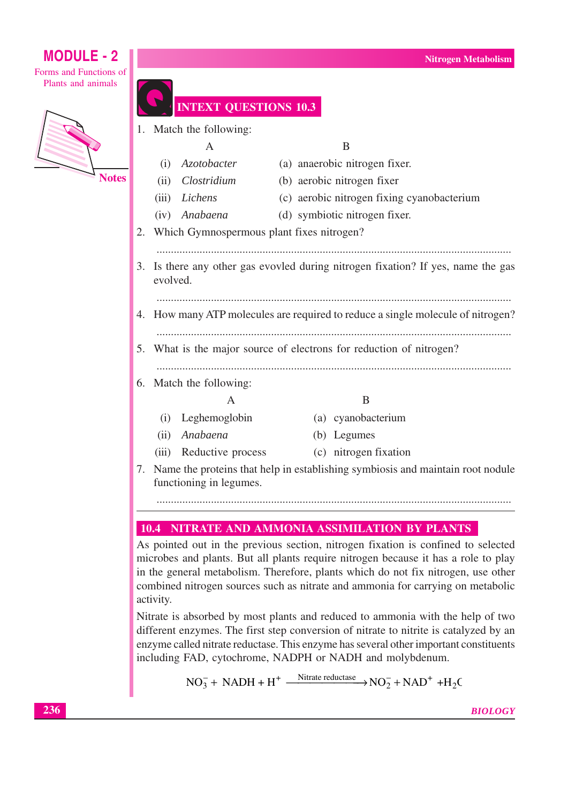Forms and Functions of Plants and animals



|    | 1. Match the following:                                                                      |                                              |  |                                                                                 |  |  |  |  |
|----|----------------------------------------------------------------------------------------------|----------------------------------------------|--|---------------------------------------------------------------------------------|--|--|--|--|
|    | B<br>A                                                                                       |                                              |  |                                                                                 |  |  |  |  |
|    | (i)                                                                                          | Azotobacter                                  |  | (a) anaerobic nitrogen fixer.                                                   |  |  |  |  |
|    | (ii)                                                                                         | Clostridium                                  |  | (b) aerobic nitrogen fixer                                                      |  |  |  |  |
|    | (iii)                                                                                        | Lichens                                      |  | (c) aerobic nitrogen fixing cyanobacterium                                      |  |  |  |  |
|    |                                                                                              | (iv) Anabaena                                |  | (d) symbiotic nitrogen fixer.                                                   |  |  |  |  |
|    |                                                                                              | 2. Which Gymnospermous plant fixes nitrogen? |  |                                                                                 |  |  |  |  |
|    |                                                                                              |                                              |  |                                                                                 |  |  |  |  |
|    | 3. Is there any other gas evovled during nitrogen fixation? If yes, name the gas<br>evolved. |                                              |  |                                                                                 |  |  |  |  |
|    |                                                                                              |                                              |  |                                                                                 |  |  |  |  |
|    |                                                                                              |                                              |  | 4. How many ATP molecules are required to reduce a single molecule of nitrogen? |  |  |  |  |
|    | 5. What is the major source of electrons for reduction of nitrogen?                          |                                              |  |                                                                                 |  |  |  |  |
|    |                                                                                              | 6. Match the following:                      |  |                                                                                 |  |  |  |  |
|    | B<br>A                                                                                       |                                              |  |                                                                                 |  |  |  |  |
|    | (i)                                                                                          | Leghemoglobin                                |  | (a) cyanobacterium                                                              |  |  |  |  |
|    | (ii)                                                                                         | Anabaena                                     |  | (b) Legumes                                                                     |  |  |  |  |
|    | (iii)                                                                                        | Reductive process                            |  | (c) nitrogen fixation                                                           |  |  |  |  |
| 7. |                                                                                              | functioning in legumes.                      |  | Name the proteins that help in establishing symbiosis and maintain root nodule  |  |  |  |  |

**TEXT OUESTIONS 10.3** 

# 10.4 NITRATE AND AMMONIA ASSIMILATION BY PLANTS

As pointed out in the previous section, nitrogen fixation is confined to selected microbes and plants. But all plants require nitrogen because it has a role to play in the general metabolism. Therefore, plants which do not fix nitrogen, use other combined nitrogen sources such as nitrate and ammonia for carrying on metabolic activity.

Nitrate is absorbed by most plants and reduced to ammonia with the help of two different enzymes. The first step conversion of nitrate to nitrite is catalyzed by an enzyme called nitrate reductase. This enzyme has several other important constituents including FAD, cytochrome, NADPH or NADH and molybdenum.

$$
NO_3^-
$$
 + NADH + H<sup>+</sup>  $\xrightarrow{\text{Nitrate reductase}}$   $NO_2^-$  + NAD<sup>+</sup> +H<sub>2</sub>C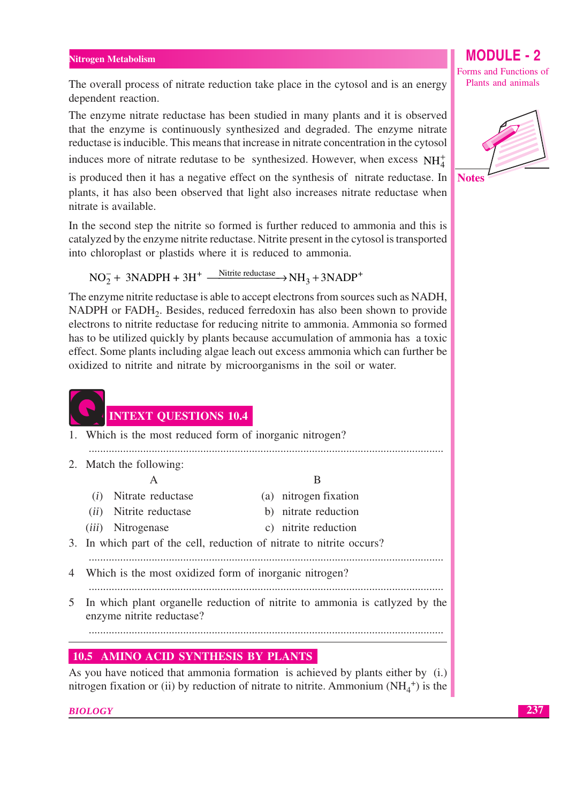The overall process of nitrate reduction take place in the cytosol and is an energy dependent reaction.

The enzyme nitrate reductase has been studied in many plants and it is observed that the enzyme is continuously synthesized and degraded. The enzyme nitrate reductase is inducible. This means that increase in nitrate concentration in the cytosol induces more of nitrate redutase to be synthesized. However, when excess  $NH_4^+$ 

is produced then it has a negative effect on the synthesis of nitrate reductase. In plants, it has also been observed that light also increases nitrate reductase when nitrate is available.

In the second step the nitrite so formed is further reduced to ammonia and this is catalyzed by the enzyme nitrite reductase. Nitrite present in the cytosol is transported into chloroplast or plastids where it is reduced to ammonia.

 $NO<sub>2</sub><sup>-</sup> + 3NADPH + 3H<sup>+</sup>$   $\xrightarrow{\text{Nitrite reductase}} NH<sub>3</sub> + 3NADP<sup>+</sup>$ 

The enzyme nitrite reductase is able to accept electrons from sources such as NADH, NADPH or FADH<sub>2</sub>. Besides, reduced ferredoxin has also been shown to provide electrons to nitrite reductase for reducing nitrite to ammonia. Ammonia so formed has to be utilized quickly by plants because accumulation of ammonia has a toxic effect. Some plants including algae leach out excess ammonia which can further be oxidized to nitrite and nitrate by microorganisms in the soil or water.



1. Which is the most reduced form of inorganic nitrogen?

- 
- 2. Match the following:  $\overline{A}$

 $\overline{B}$ 

(i) Nitrate reductase

*(iii)* Nitrogenase

- *(ii)* Nitrite reductase
- b) nitrate reduction c) nitrite reduction

(a) nitrogen fixation

- 3. In which part of the cell, reduction of nitrate to nitrite occurs?
- 
- 4 Which is the most oxidized form of inorganic nitrogen?
- 5 In which plant organelle reduction of nitrite to ammonia is catlyzed by the enzyme nitrite reductase?

## **10.5 AMINO ACID SYNTHESIS BY PLANTS**

As you have noticed that ammonia formation is achieved by plants either by (i.) nitrogen fixation or (ii) by reduction of nitrate to nitrite. Ammonium  $(NH_4^+)$  is the

**BIOLOGY** 

# **MODULE - 2**

Forms and Functions of Plants and animals

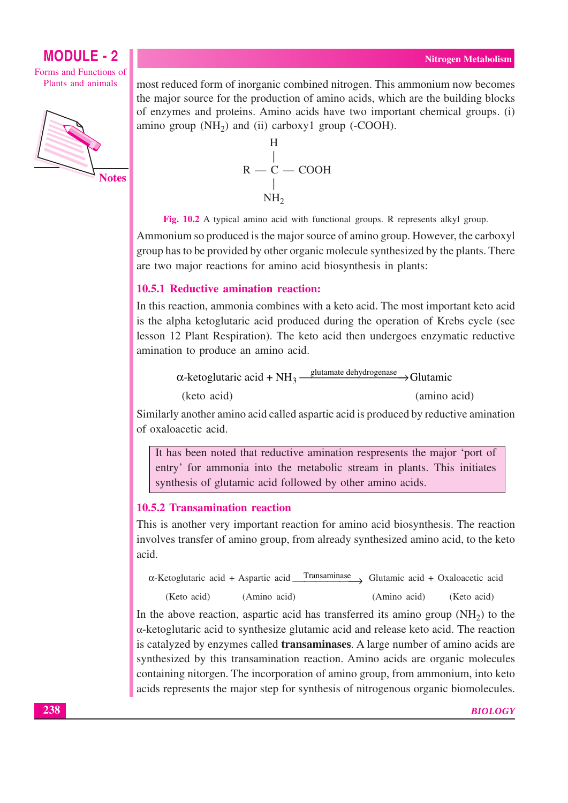Forms and Functions of Plants and animals



most reduced form of inorganic combined nitrogen. This ammonium now becomes the major source for the production of amino acids, which are the building blocks of enzymes and proteins. Amino acids have two important chemical groups. (i) amino group  $(NH_2)$  and (ii) carboxy1 group (-COOH).

$$
\begin{array}{c}\nH \\
| \\
R - C - COOH \\
| \\
NH_2\n\end{array}
$$

Fig. 10.2 A typical amino acid with functional groups. R represents alkyl group. Ammonium so produced is the major source of amino group. However, the carboxyl group has to be provided by other organic molecule synthesized by the plants. There are two major reactions for amino acid biosynthesis in plants:

## 10.5.1 Reductive amination reaction:

In this reaction, ammonia combines with a keto acid. The most important keto acid is the alpha ketoglutaric acid produced during the operation of Krebs cycle (see lesson 12 Plant Respiration). The keto acid then undergoes enzymatic reductive amination to produce an amino acid.

> $\alpha$ -ketoglutaric acid + NH<sub>3</sub>  $\frac{\text{glutamate dehydrogenase}}{\text{O}}$ Glutamic (keto acid) (amino acid)

Similarly another amino acid called aspartic acid is produced by reductive amination of oxaloacetic acid

It has been noted that reductive amination respresents the major 'port of entry' for ammonia into the metabolic stream in plants. This initiates synthesis of glutamic acid followed by other amino acids.

## 10.5.2 Transamination reaction

This is another very important reaction for amino acid biosynthesis. The reaction involves transfer of amino group, from already synthesized amino acid, to the keto acid.

| $\alpha$ -Ketoglutaric acid + Aspartic acid Transaminase Glutamic acid + Oxaloacetic acid |              |              |             |
|-------------------------------------------------------------------------------------------|--------------|--------------|-------------|
| (Keto acid)                                                                               | (Amino acid) | (Amino acid) | (Keto acid) |

In the above reaction, aspartic acid has transferred its amino group  $(NH_2)$  to the α-ketoglutaric acid to synthesize glutamic acid and release keto acid. The reaction is catalyzed by enzymes called **transaminases**. A large number of amino acids are synthesized by this transamination reaction. Amino acids are organic molecules containing nitorgen. The incorporation of amino group, from ammonium, into keto acids represents the major step for synthesis of nitrogenous organic biomolecules.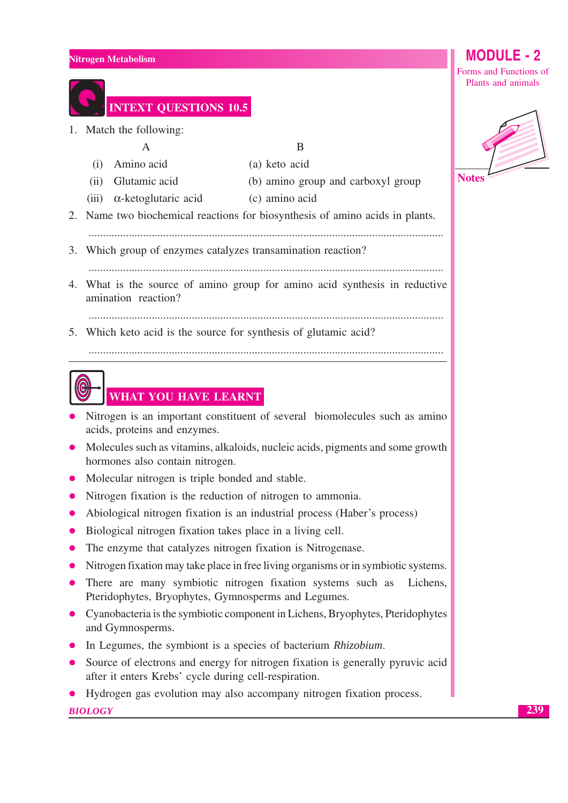|    | Nitrogen Metabolism                                                                                                                     | <b>MODULE - 2</b>      |
|----|-----------------------------------------------------------------------------------------------------------------------------------------|------------------------|
|    |                                                                                                                                         | Forms and Functions of |
|    |                                                                                                                                         | Plants and animals     |
|    | <b>INTEXT QUESTIONS 10.5</b>                                                                                                            |                        |
|    | Match the following:                                                                                                                    |                        |
|    | B<br>A                                                                                                                                  |                        |
|    | Amino acid<br>(a) keto acid<br>(i)                                                                                                      |                        |
|    | Glutamic acid<br>(b) amino group and carboxyl group<br>(ii)                                                                             | <b>Notes</b>           |
|    | $\alpha$ -ketoglutaric acid<br>(c) amino acid<br>(iii)                                                                                  |                        |
|    | 2. Name two biochemical reactions for biosynthesis of amino acids in plants.                                                            |                        |
|    |                                                                                                                                         |                        |
| 3. | Which group of enzymes catalyzes transamination reaction?                                                                               |                        |
|    |                                                                                                                                         |                        |
| 4. | What is the source of amino group for amino acid synthesis in reductive<br>amination reaction?                                          |                        |
|    |                                                                                                                                         |                        |
| 5. | Which keto acid is the source for synthesis of glutamic acid?                                                                           |                        |
|    |                                                                                                                                         |                        |
|    |                                                                                                                                         |                        |
|    | WHAT YOU HAVE LEARNT                                                                                                                    |                        |
|    | Nitrogen is an important constituent of several biomolecules such as amino                                                              |                        |
|    | acids, proteins and enzymes.                                                                                                            |                        |
|    | Molecules such as vitamins, alkaloids, nucleic acids, pigments and some growth                                                          |                        |
|    | hormones also contain nitrogen.                                                                                                         |                        |
|    | Molecular nitrogen is triple bonded and stable.                                                                                         |                        |
|    | Nitrogen fixation is the reduction of nitrogen to ammonia.                                                                              |                        |
|    | Abiological nitrogen fixation is an industrial process (Haber's process)                                                                |                        |
|    | Biological nitrogen fixation takes place in a living cell.                                                                              |                        |
|    | The enzyme that catalyzes nitrogen fixation is Nitrogenase.                                                                             |                        |
|    | Nitrogen fixation may take place in free living organisms or in symbiotic systems.                                                      |                        |
|    | There are many symbiotic nitrogen fixation systems such as<br>Lichens,<br>Pteridophytes, Bryophytes, Gymnosperms and Legumes.           |                        |
|    | Cyanobacteria is the symbiotic component in Lichens, Bryophytes, Pteridophytes<br>and Gymnosperms.                                      |                        |
|    | In Legumes, the symbiont is a species of bacterium Rhizobium.                                                                           |                        |
|    | Source of electrons and energy for nitrogen fixation is generally pyruvic acid<br>after it enters Krebs' cycle during cell-respiration. |                        |
|    | Hydrogen gas evolution may also accompany nitrogen fixation process.                                                                    |                        |
|    | <b>BIOLOGY</b>                                                                                                                          |                        |
|    |                                                                                                                                         |                        |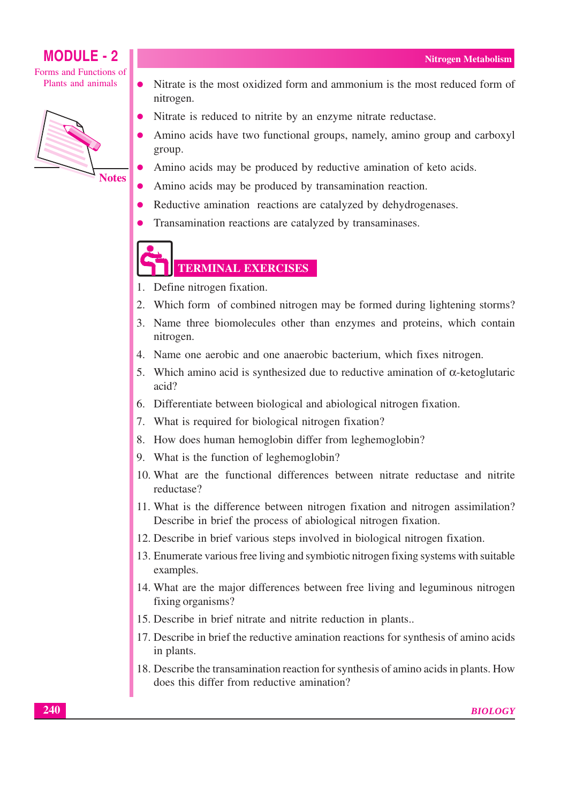Forms and Functions of Plants and animals



- Nitrate is the most oxidized form and ammonium is the most reduced form of  $\bullet$ nitrogen.
- Nitrate is reduced to nitrite by an enzyme nitrate reductase.
- Amino acids have two functional groups, namely, amino group and carboxyl group.
- Amino acids may be produced by reductive amination of keto acids.
- Amino acids may be produced by transamination reaction.
- Reductive amination reactions are catalyzed by dehydrogenases.
- Transamination reactions are catalyzed by transaminases.

# **TERMINAL EXERCISES**

- 1. Define nitrogen fixation.
- $\overline{2}$ . Which form of combined nitrogen may be formed during lightening storms?
- 3. Name three biomolecules other than enzymes and proteins, which contain nitrogen.
- 4. Name one aerobic and one anaerobic bacterium, which fixes nitrogen.
- 5. Which amino acid is synthesized due to reductive amination of  $\alpha$ -ketoglutaric  $acid<sup>2</sup>$
- 6. Differentiate between biological and abiological nitrogen fixation.
- 7. What is required for biological nitrogen fixation?
- 8. How does human hemoglobin differ from leghemoglobin?
- 9. What is the function of leghemoglobin?
- 10. What are the functional differences between nitrate reductase and nitrite reductase?
- 11. What is the difference between nitrogen fixation and nitrogen assimilation? Describe in brief the process of abiological nitrogen fixation.
- 12. Describe in brief various steps involved in biological nitrogen fixation.
- 13. Enumerate various free living and symbiotic nitrogen fixing systems with suitable examples.
- 14. What are the major differences between free living and leguminous nitrogen fixing organisms?
- 15. Describe in brief nitrate and nitrite reduction in plants...
- 17. Describe in brief the reductive amination reactions for synthesis of amino acids in plants.
- 18. Describe the transamination reaction for synthesis of amino acids in plants. How does this differ from reductive amination?